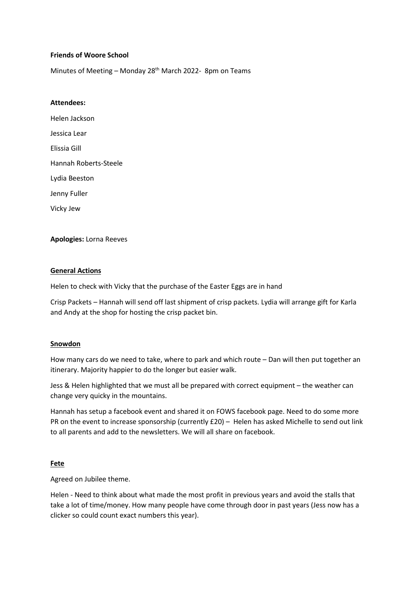## **Friends of Woore School**

Minutes of Meeting - Monday 28<sup>th</sup> March 2022- 8pm on Teams

## **Attendees:**

Helen Jackson Jessica Lear Elissia Gill Hannah Roberts-Steele Lydia Beeston Jenny Fuller Vicky Jew

## **Apologies:** Lorna Reeves

## **General Actions**

Helen to check with Vicky that the purchase of the Easter Eggs are in hand

Crisp Packets – Hannah will send off last shipment of crisp packets. Lydia will arrange gift for Karla and Andy at the shop for hosting the crisp packet bin.

#### **Snowdon**

How many cars do we need to take, where to park and which route – Dan will then put together an itinerary. Majority happier to do the longer but easier walk.

Jess & Helen highlighted that we must all be prepared with correct equipment – the weather can change very quicky in the mountains.

Hannah has setup a facebook event and shared it on FOWS facebook page. Need to do some more PR on the event to increase sponsorship (currently £20) – Helen has asked Michelle to send out link to all parents and add to the newsletters. We will all share on facebook.

#### **Fete**

Agreed on Jubilee theme.

Helen - Need to think about what made the most profit in previous years and avoid the stalls that take a lot of time/money. How many people have come through door in past years (Jess now has a clicker so could count exact numbers this year).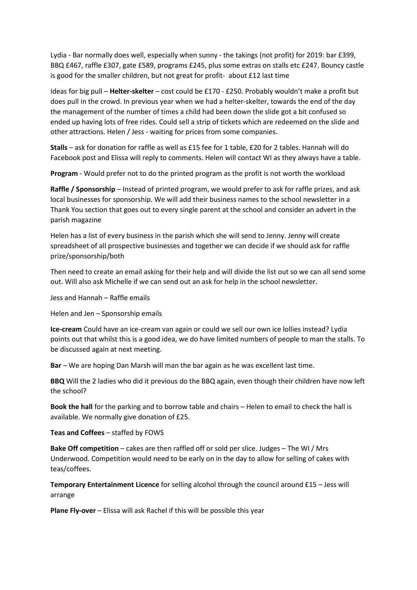Lydia - Bar normally does well, especially when sunny - the takings (not profit) for 2019: bar £399, BBQ £467, raffle £307, gate £589, programs £245, plus some extras on stalls etc £247. Bouncy castle is good for the smaller children, but not great for profit- about £12 last time

Ideas for big pull – **Helter-skelter** – cost could be £170 - £250. Probably wouldn't make a profit but does pull in the crowd. In previous year when we had a helter-skelter, towards the end of the day the management of the number of times a child had been down the slide got a bit confused so ended up having lots of free rides. Could sell a strip of tickets which are redeemed on the slide and other attractions. Helen / Jess - waiting for prices from some companies.

**Stalls** – ask for donation for raffle as well as £15 fee for 1 table, £20 for 2 tables. Hannah will do Facebook post and Elissa will reply to comments. Helen will contact WI as they always have a table.

**Program** - Would prefer not to do the printed program as the profit is not worth the workload

**Raffle / Sponsorship** – Instead of printed program, we would prefer to ask for raffle prizes, and ask local businesses for sponsorship. We will add their business names to the school newsletter in a Thank You section that goes out to every single parent at the school and consider an advert in the parish magazine

Helen has a list of every business in the parish which she will send to Jenny. Jenny will create spreadsheet of all prospective businesses and together we can decide if we should ask for raffle prize/sponsorship/both

Then need to create an email asking for their help and will divide the list out so we can all send some out. Will also ask Michelle if we can send out an ask for help in the school newsletter.

Jess and Hannah – Raffle emails

Helen and Jen – Sponsorship emails

**Ice-cream** Could have an ice-cream van again or could we sell our own ice lollies instead? Lydia points out that whilst this is a good idea, we do have limited numbers of people to man the stalls. To be discussed again at next meeting.

**Bar** – We are hoping Dan Marsh will man the bar again as he was excellent last time.

**BBQ** Will the 2 ladies who did it previous do the BBQ again, even though their children have now left the school?

**Book the hall** for the parking and to borrow table and chairs – Helen to email to check the hall is available. We normally give donation of £25.

**Teas and Coffees** – staffed by FOWS

**Bake Off competition** – cakes are then raffled off or sold per slice. Judges – The WI / Mrs Underwood. Competition would need to be early on in the day to allow for selling of cakes with teas/coffees.

**Temporary Entertainment Licence** for selling alcohol through the council around £15 – Jess will arrange

**Plane Fly-over** – Elissa will ask Rachel if this will be possible this year